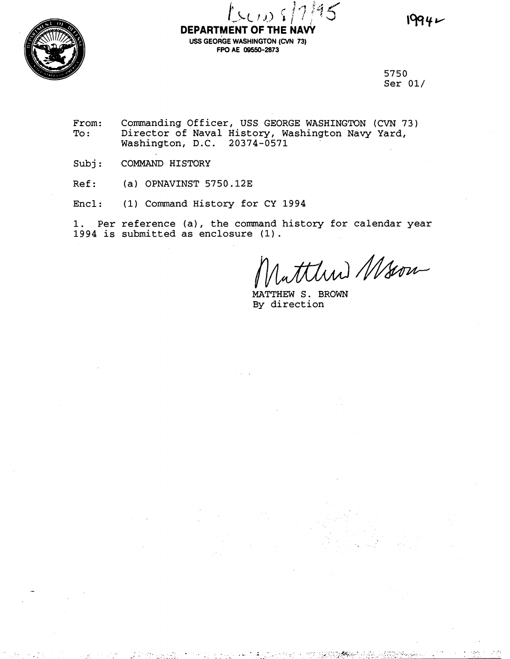

# **DEPARTMENT OF THE NAVY uss GEORGE WASHINGTON (CVN 73) FPO AE 09550-2873**

5750 Ser 01/

From: Commanding Officer, USS GEORGE WASHINGTON (CVN 73)<br>To: Director of Naval History, Washington Navy Yard, Director of Naval History, Washington Navy Yard, Washington, D.C. 20374-0571

Subj: COMMAND HISTORY

Ref: (a) OPNAVINST 5750.12E

Encl: (1) Command History for CY 1994

1. Per reference (a), the command history for calendar year 1994 is submitted as enclosure **(1).** 

ttlund Mson

MATTHEW S. BROWN By direction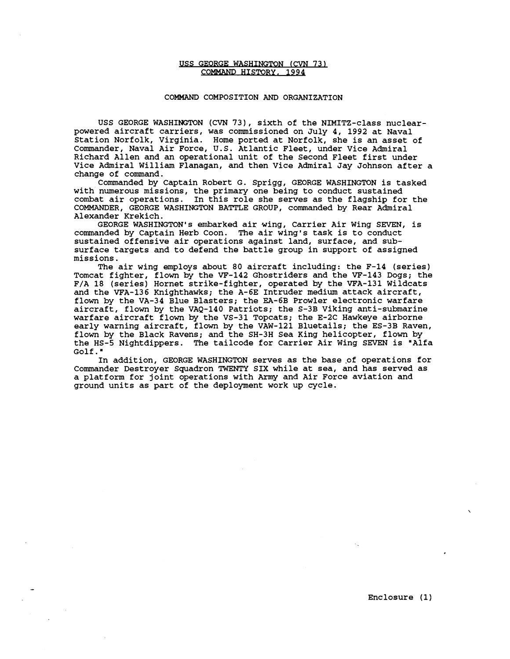### USS GEORGE WASHINGTON (CVN 73) COMMAND HISTORY, 1994

## COMMAND COMPOSITION AND ORGANIZATION

USS GEORGE WASHINGTON (CVN 731, sixth of the NIMITZ-class nuclearpowered aircraft carriers, was commissioned on July 4, 1992 at Naval Station Norfolk, Virginia. Home ported at Norfolk, she is an asset of Commander, Naval Air Force, U.S. Atlantic Fleet, under Vice Admiral Richard Allen and an operational unit of the Second Fleet first under Vice Admiral William Flanagan, and then Vice Admiral Jay Johnson after a change of command.

Commanded by Captain Robert G. Sprigg, GEORGE WASHINGTON is tasked with numerous missions, the primary one being to conduct sustained combat air operations. In this role she serves as the flagship for the COMMANDER, GEORGE WASHINGTON BATTLE GROUP, commanded by Rear Admiral Alexander Krekich.

GEORGE WASHINGTON'S embarked air wing, Carrier Air Wing SEVEN, is commanded by Captain Herb Coon. The air wing's task is to conduct sustained offensive air operations against land, surface, and subsurface targets and to defend the battle group in support of assigned missions.

The air wing employs about 80 aircraft including: the F-14 (series) Tomcat fighter, flown by the VF-142 Ghostriders and the VF-143 Dogs; the F/A 18 (series) Hornet strike-fighter, operated by the VFA-131 Wildcats and the VFA-136 Knighthawks; the A-6E Intruder medium attack aircraft, flown by the VA-34 Blue Blasters; the EA-6B Prowler electronic warfare aircraft, flown by the VAQ-140 Patriots; the S-3B Viking anti-submarine warfare aircraft flown by the VS-31 Topcats; the E-2C Hawkeye airborne early warning aircraft, flown by the VAW-121 Bluetails; the ES-3B Raven, flown by the Black Ravens; and the SH-3H Sea King helicopter, flown by the HS-5 Nightdippers. The tailcode for Carrier Air Wing SEVEN is "Alfa Golf. "

In addition, GEORGE WASHINGTON serves as the base of operations for Commander Destroyer Squadron TWENTY SIX while at sea, and has served as a platform for joint operations with **Army** and Air Force aviation and ground units as part of the deployment work up cycle.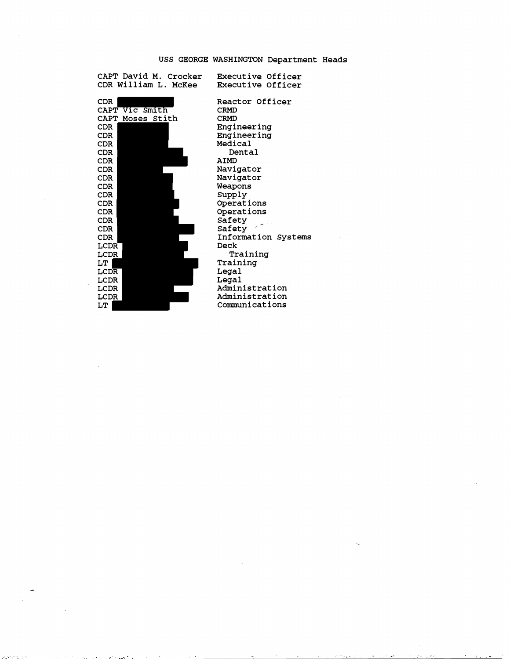# USS GEORGE WASHINGTON Department Heads

| CAPT David M. Crocker<br>CDR William L. McKee | Executive Officer<br>Executive Officer |
|-----------------------------------------------|----------------------------------------|
| CDR.                                          | Reactor Officer                        |
| CAPT Vic Smith                                | <b>CRMD</b>                            |
| CAPT Moses Stith                              | <b>CRMD</b>                            |
| CDR                                           | Engineering                            |
| CDR.                                          | Engineering                            |
| CDR.                                          | Medical                                |
| CDR.                                          | Dental                                 |
| CDR                                           | <b>AIMD</b>                            |
| <b>CDR</b>                                    | Navigator                              |
| CDR.                                          | Navigator                              |
| CDR                                           | Weapons                                |
| CDR                                           | Supply                                 |
| CDR.                                          | Operations                             |
| CDR                                           | Operations                             |
| CDR.                                          | Safety                                 |
| CDR.                                          | Safety                                 |
| <b>CDR</b>                                    | Information System                     |
| LCDR                                          | Deck                                   |
| LCDR                                          | Training                               |
| LT                                            | Training                               |
| LCDR                                          | Legal                                  |
| LCDR                                          | Legal                                  |
| LCDR                                          | Administration                         |
| LCDR                                          | Administration                         |
| LT                                            | Communications                         |

 $\alpha = 1/2$ 

and the range of

Reactor Officer CRMD CRMD Engineering Engineering Medical Dental AIMD Navigator Navigator Weapons Supply Operations Operations Safety Safety Information Systems Deck Training Training Legal Legal Administration Administration Comunications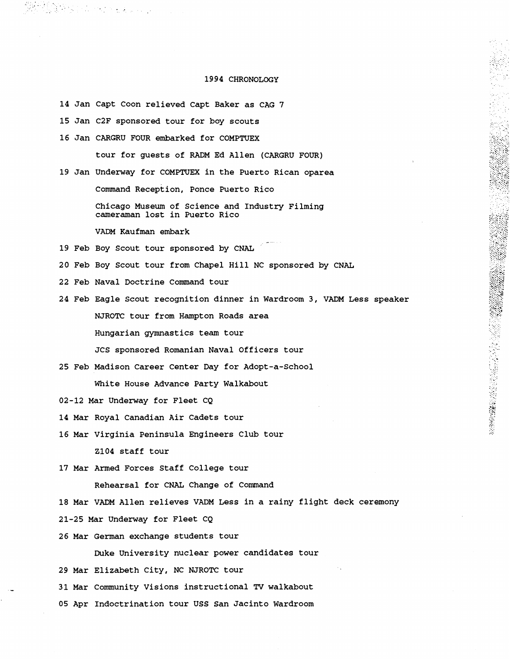### 1994 CHRONOLOGY

14 Jan Capt Coon relieved Capt Baker as CAG 7

15 Jan C2F sponsored tour for boy scouts

in Aleithean agus an t-ainm an t-ainm.<br>Bha anns an t-ainm an t-ainm an t-ainm an t-ainm

16 Jan CARGRU FOUR embarked for COMPTUEX

tour for guests of RADM Ed Allen (CARGRU FOUR)

19 Jan Underway for COMPTUEX in the Puerto Rican oparea

Command Reception, Ponce Puerto Rico

Chicago Museum of Science and Industry Filming cameraman lost in Puerto Rico

- VADM Kaufman embark<br>19 Feb Boy Scout tour sponsored by CNAL
- 20 Feb Boy Scout tour from Chapel Hill NC sponsored by CNAL
- 22 Feb Naval Doctrine Command tour
- 24 Feb Eagle Scout recognition dinner in Wardroom 3, VADM Less speaker NJROTC tour from Hampton Roads area Hungarian gymnastics team tour JCS sponsored Romanian Naval Officers tour

- 25 Feb Madison Career Center Day for Adopt-a-School White House Advance Party Walkabout
- 02-12 Mar Underway for Fleet CQ
- 14 Mar Royal Canadian Air Cadets tour
- 16 Mar Virginia Peninsula Engineers Club tour 2104 staff tour
- 17 Mar Armed Forces Staff College tour

Rehearsal for CNAL Change of Command

- 18 Mar VADM Allen relieves VADM Less in a rainy flight deck ceremony
- 21-25 Mar Underway for Fleet CQ
- 26 Mar German exchange students tour

Duke University nuclear power candidates tour

29 Mar Elizabeth City, NC NJROTC tour

- 31 Mar Community Visions instructional **TV** walkabout
- 05 Apr Indoctrination tour USS San Jacinto Wardroom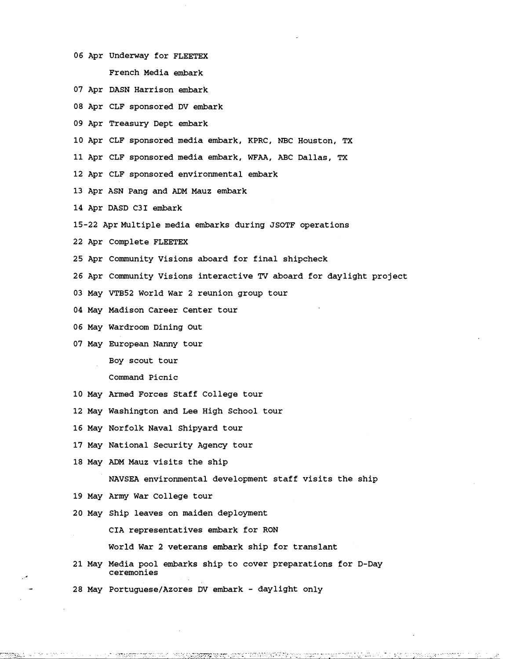- Apr Underway for FLEETEX French Media embark
- Apr DASN Harrison embark
- Apr CLF sponsored DV embark
- Apr Treasury Dept embark
- Apr CLF sponsored media embark, KPRC, NBC Houston, TX

Apr CLF sponsored media embark, **WFAA,** ABC Dallas, **TX** 

- Apr CLF sponsored environmental embark
- Apr ASN Pang and ADM Mauz embark
- Apr DASD C31 embark
- 15-22 Apr Multiple media embarks during JSOTF operations
- Apr Complete FLEETEX
- Apr Community Visions aboard for final shipcheck
- Apr Community Visions interactive **TV** aboard for daylight project
- May VTB52 World War 2 reunion group tour
- May Madison Career Center tour
- May Wardroom Dining Out
- May European Nanny tour

BOY scout tour

Command Picnic

- May Armed Forces Staff College tour
- May Washington and Lee High School tour
- May Norfolk Naval Shipyard tour
- May National Security Agency tour
- May ADM Mauz visits the ship

NAVSEA environmental development staff visits the ship

- May Army War College tour
- May Ship leaves on maiden deployment

CIA representatives embark for RON

World War 2 veterans embark ship for translant

May Media pool embarks ship to cover preparations for D-Day ceremonies

28 May Portuguese/Azores DV embark - daylight only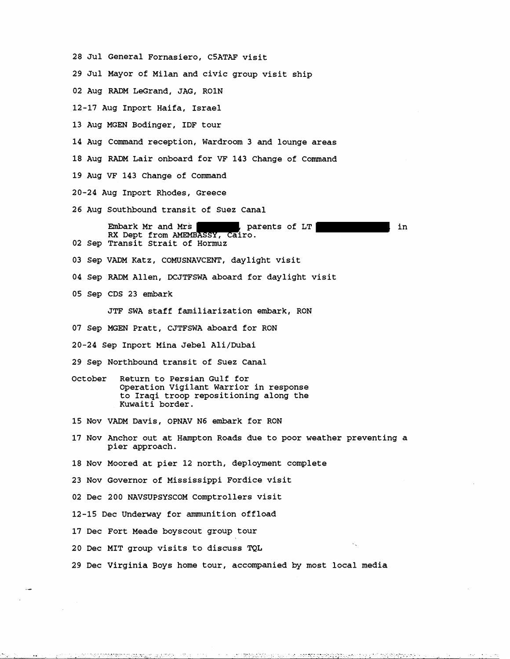- 28 Jul General Fornasiero, CSATAF visit
- 29 Jul Mayor of Milan and civic group visit ship
- 02 Aug RADM LeGrand, JAG, ROlN
- 12-17 Aug Inport Haifa, Israel
- 13 Aug MGEN Bodinger, IDF tour
- 14 Aug Command reception, Wardroom 3 and lounge areas
- 18 Aug RADM Lair onboard for VF 143 Change of Command
- 19 Aug VF 143 Change of Command
- 20-24 Aug Inport Rhodes, Greece
- 26 Aug Southbound transit of Suez Canal

Embark Mr and Mrs , parents of LT , in **RX** Dept from AMEMBASSY, Cairo. 02 Sep Transit Strait of Hormuz

- 03 Sep VADM Katz, COMUSNAVCENT, daylight visit
- 04 Sep RADM Allen, DCJTFSWA aboard for daylight visit
- 05 Sep CDS 23 embark

JTF SWA staff familiarization embark, RON

- 07 Sep MGEN Pratt, CJTFSWA aboard for RON
- 20-24 Sep Inport Mina Jebel Ali/Dubai
- 29 Sep Northbound transit of Suez Canal
- October Return to Persian Gulf for Operation Vigilant Warrior in response to Iraqi troop repositioning along the Kuwaiti border.
- 15 Nov VADM Davis, OPNAV N6 embark for RON
- 17 Nov Anchor out at Hampton Roads due to poor weather preventing a pier approach.
- 18 Nov Moored at pier 12 north, deployment complete
- 23 Nov Governor of Mississippi Fordice visit
- 02 Dec 200 NAVSUPSYSCOM Comptrollers visit
- 12-15 Dec Underway for ammunition offload
- 17 Dec Fort Meade boyscout group tour
- 20 Dec MIT group visits to discuss TQL

.<br>Here, and a string to the second structure.

.. .. . . . ,. . , . . \_ , . , . . ' . . . ,I,- , .. . . ,

29 Dec Virginia Boys home tour, accompanied by most local media

.<br><u>. 1993an 1993 - 1995 - 1996 - 1996 - 1997 ISBN 1996 - 1997 - 1997 ISBN 1999 - 1999 <sup>-</sup> 1999 - 1999 - 1999 - 199</u>

. . ...-.-... ...-. ... ,, . , . .\_,.\_ \_ . **1,.** . . ,..... . .

. . ,.. . .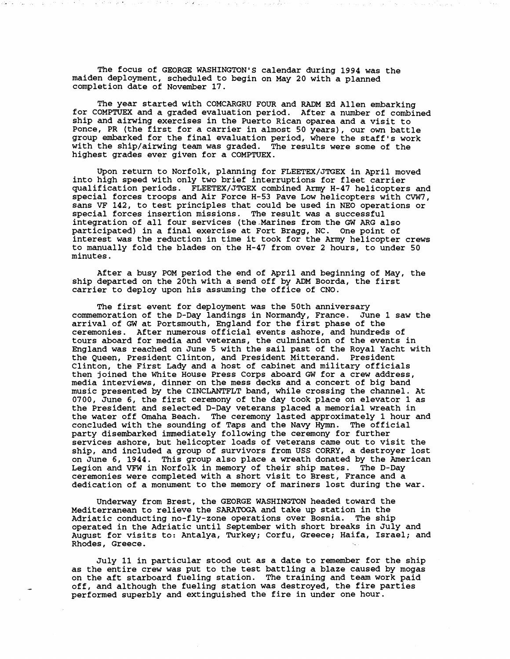The focus of GEORGE WASHINGTON'S calendar during 1994 was the maiden deployment, scheduled to begin on May 20 with a planned completion date of November 17.

The year started with COMCARGRU FOUR and RADM Ed Allen embarking for COMPTUEX and a graded evaluation period. After a number of combined ship and airwing exercises in the Puerto Rican oparea and a visit to Ponce, PR (the first for a carrier in almost 50 years), our own battle group embarked for the final evaluation period, where the staff's work with the ship/airwing team was graded. The results were some of the highest grades ever given for a COMPTUEX.

Upon return to Norfolk, planning for FLEETEWJTGEX in April moved into high speed with only two brief interruptions for fleet carrier qualification periods. FLEETEX/JTGEX combined Army H-47 helicopters and special forces troops and Air Force H-53 Pave Low helicopters with CVW7, sans **VF** 142, to test principles that could be used in NEO operations or special forces insertion missions. The result was a successful integration of all four services (the-Marines from the GW ARG also participated) in a final exercise at Fort Bragg, NC. One point of interest was the reduction in time it took for the Army helicopter crews to manually fold the blades on the H-47 from over 2 hours, to under 50 minutes.

After a busy POM period the end of April and beginning of May, the ship departed on the 20th with a send off by ADM Boorda, the first carrier to deploy upon his assuming the office of CNO.

The first event for deployment was the 50th anniversary commemoration of the D-Day landings in Normandy, France. June 1 saw the arrival of **GW** at Portsmouth, England for the first phase of the ceremonies. After numerous official events ashore, and hundreds of tours aboard for media and veterans, the culmination of the events in England was reached on June 5 with the sail past of the Royal Yacht with the Queen, President Clinton, and President Mitterand. President Clinton, the First Lady and a host of cabinet and military officials then joined the White House Press Corps aboard GW for a crew address, media interviews, dinner on the mess decks and a concert of big band music presented by the CINCLANTFLT band, while crossing the channel. At 0700, June 6, the first ceremony of the day took place on elevator 1 as the President and selected D-Day veterans placed a memorial wreath in the water off Omaha Beach. The ceremony lasted approximately 1 hour and concluded with the sounding of Taps and the Navy Hymn. The official party disembarked immediately following the ceremony for further services ashore, but helicopter loads of veterans came out to visit the ship, and included a group of survivors from USS CORRY, a destroyer lost on June 6, 1944. This group also place a wreath donated by the American Legion and VFW in Norfolk in memory of their ship mates. The D-Day ceremonies were completed with a short visit to Brest, France and a dedication of a monument to the memory of mariners lost during the war.

Underway from Brest, the GEORGE WASHINGTON headed toward the Mediterranean to relieve the SARATOGA and take up station in the Adriatic conducting no-fly-zone operations over Bosnia. The ship operated in the Adriatic until September with short breaks in July and August for visits to: Antalya, Turkey; Corfu, Greece; Haifa, Israel; and Rhodes, Greece.

July 11 in particular stood out as a date to remember for the ship as the entire crew was put to the test battling a blaze caused by mogas on the aft starboard fueling station. The training and team work paid off, and although the fueling station was destroyed, the fire parties performed superbly and extinguished the fire in under one hour.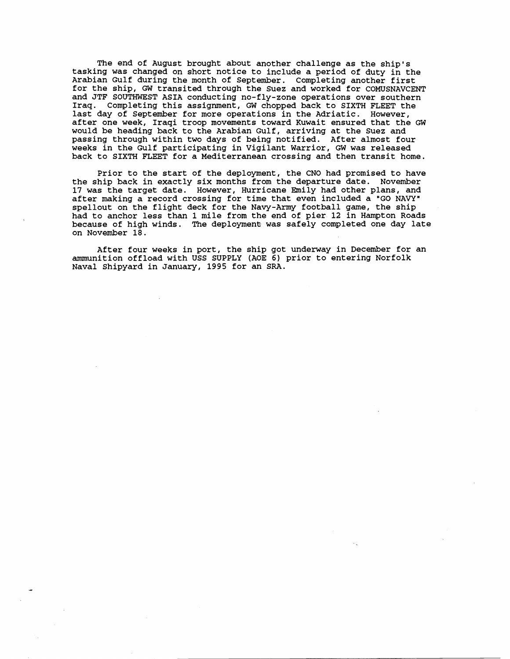The end of August brought about another challenge as the ship's tasking was changed on short notice to include a period of duty in the Arabian Gulf during the month of September. Completing another first for the ship, GW transited through the Suez and worked for COMUSNAVCENT and JTF SOUTHWEST ASIA conducting no-fly-zone operations over southern Iraq. Completing this assignment, GW chopped back to SIXTH FLEET the last day of September for more operations in the Adriatic. However, after one week, Iraqi troop movements toward Kuwait ensured that the GW would be heading back to the Arabian Gulf, arriving at the Suez and passing through within two days of being notified. After almost four weeks in the Gulf participating in Vigilant Warrior, GW was released back to SIXTH FLEET for a Mediterranean crossing and then transit home.

Prior to the start of the deployment, the CNO had promised to have the ship back in exactly six months from the departure date. November 17 was the target date. However, Hurricane Emily had other plans, and after making a record crossing for time that even included a "GO NAVY" spellout on the flight deck for the Navy-Army football game, the ship had to anchor less than 1 mile from the end of pier 12 in Hampton Roads because of high winds. The deployment was safely completed one day late on November 18.

After four weeks in port, the ship got underway in December for an ammunition offload with USS SUPPLY (AOE 6) prior to entering Norfolk Naval Shipyard in January, 1995 for an SRA.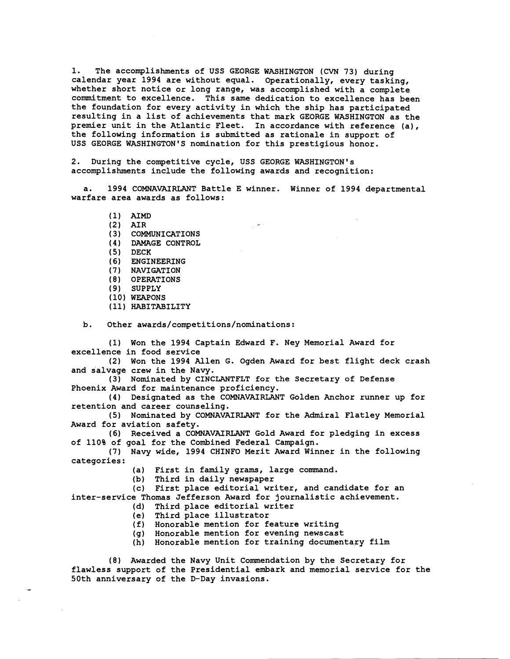1. The accomplishments of USS GEORGE WASHINGTON (CVN 73) during calendar year 1994 are without equal. Operationally, every tasking, whether short notice or long range, was accomplished with a complete commitment to excellence. This same dedication to excellence has been the foundation for every activity in which the ship has participated resulting in a list of achievements that mark GEORGE WASHINGTON as the premier unit in the Atlantic Fleet. In accordance with reference (a), the following information is submitted as rationale in support of USS GEORGE WASHINGTON'S nomination for this prestigious honor.

2. During the competitive cycle, USS GEORGE WASHINGTON'S accomplishments include the following awards and recognition:

1994 COMNAVAIRLANT Battle E winner. Winner of 1994 departmental warfare area awards as follows:

(1) AIMD

- (2) AIR
- **(3)** COMMUNICATIONS
- (4 ) DAMAGE CONTROL
- **(5)** DECK
- (6) ENGINEERING
- (7) NAVIGATION
- ( 8) OPERATIONS
- (9) SUPPLY
- (10) WEAPONS
- (11) HABITABILITY

b. Other **awards/competitions/nominations:** 

(1) Won the 1994 Captain Edward F. Ney Memorial Award for excellence in food service

(2) Won the 1994 Allen G. Ogden Award for best flight deck crash and salvage crew in the Navy.

(3) Nominated by CINCLANTFLT for the Secretary of Defense Phoenix Award for maintenance proficiency.

(4) Designated as the COMNAVAIRLANT Golden Anchor runner up for retention and career counseling.

(5) Nominated by COMNAVAIRLANT for the Admiral Flatley Memorial Award for aviation safety.

(6) Received a COMNAVAIRLANT Gold Award for pledging in excess of 110% of goal for the Combined Federal Campaign.

(7) Navy wide, 1994 CHINFO Merit Award Winner in the following categories:

(a) First in family grams, large command.

(b) Third in daily newspaper

(c) First place editorial writer, and candidate for an inter-service Thomas Jefferson Award for journalistic achievement.

- (d) Third place editorial writer
- (e) Third place illustrator
- (f) Honorable mention for feature writing
- (g) Honorable mention for evening newscast
- (h) Honorable mention for training documentary film

(8) Awarded the Navy Unit Commendation by the Secretary for flawless support of the Presidential embark and memorial service for the 50th anniversary of the D-Day invasions.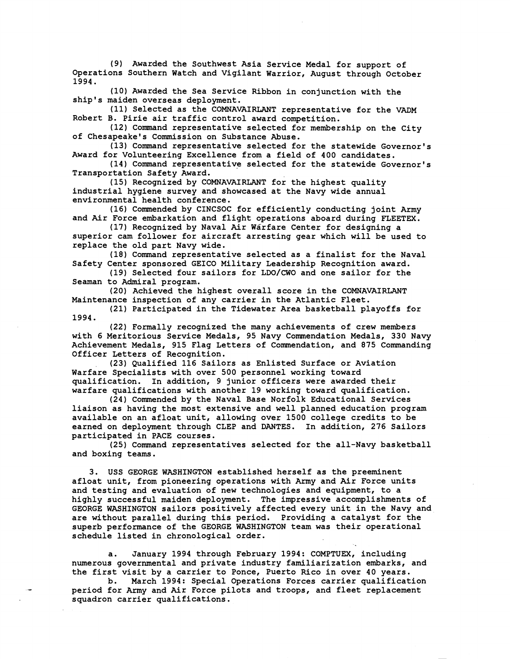(9) Awarded the Southwest Asia Service Medal for support of Operations Southern Watch and Vigilant Warrior, August through October 1994.

(10) Awarded the Sea Service Ribbon in conjunction with the ship's maiden overseas deployment.

(11) Selected as the COMNAVAIRLANT representative for the VADM Robert B. Pirie air traffic control award competition.

(12) Command representative selected for membership on the City of Chesapeake's Commission on Substance Abuse.

(13) Command representative selected for the statewide Governor's Award for Volunteering Excellence from a field of 400 candidates.

(14) Command representative selected for the statewide Governor's Transportation Safety Award.

(15) Recognized by COMNAVAIRLANT for the highest quality industrial hygiene survey and showcased at the Navy wide annual environmental health conference.

(16) Commended by CINCSOC for efficiently conducting joint Army and Air Force embarkation and flight operations aboard during FLEETEX.

(17) Recognized by Naval Air Warfare Center for designing a superior cam follower for aircraft arresting gear which will be used to replace the old part Navy wide.

(18) Command representative selected as a finalist for the Naval Safety Center sponsored GEICO Military Leadership Recognition award.

(19) Selected four sailors for LDO/CWO and one sailor for the Seaman to Admiral program.

(20) Achieved the highest overall score in the COMNAVAIRLANT Maintenance inspection of any carrier in the Atlantic Fleet.

(21) Participated in the Tidewater Area basketball playoffs for 1994.

(22) Formally recognized the many achievements of crew members with 6 Meritorious Service Medals, 95 Navy Commendation Medals, 330 Navy Achievement Medals, 915 Flag Letters of Commendation, and 875 Commanding Officer Letters of Recognition.

(23) Qualified 116 Sailors as Enlisted Surface or Aviation Warfare Specialists with over 500 personnel working toward qualification. In addition, 9 junior officers were awarded their warfare qualifications with another 19 working toward qualification.

(24) Commended by the Naval Base Norfolk Educational Services liaison as having the most extensive and well planned education program available on an afloat unit, allowing over 1500 college credits to be earned on deployment through CLEP and DANTES. In addition, 276 Sailors participated in PACE courses.

(25) Command representatives selected for the all-Navy basketball and boxing teams.

3. USS GEORGE WASHINGTON established herself as the preeminent afloat unit, from pioneering operations with Army and Air Force units and testing and evaluation of new technologies and equipment, to a highly successful maiden deployment. The impressive accomplishments of GEORGE WASHINGTON sailors positively affected every unit in the Navy and are without parallel during this period. Providing a catalyst for the superb performance of the GEORGE WASHINGTON team was their operational schedule listed in chronological order.

a. January 1994 through February 1994: COMPTUEX, including numerous governmental and private industry familiarization embarks, and the first visit by a carrier to Ponce, Puerto Rico in over 40 years.

b. March 1994: Special Operations Forces carrier qualification period for Army and Air Force pilots and troops, and fleet replacement squadron carrier qualifications.